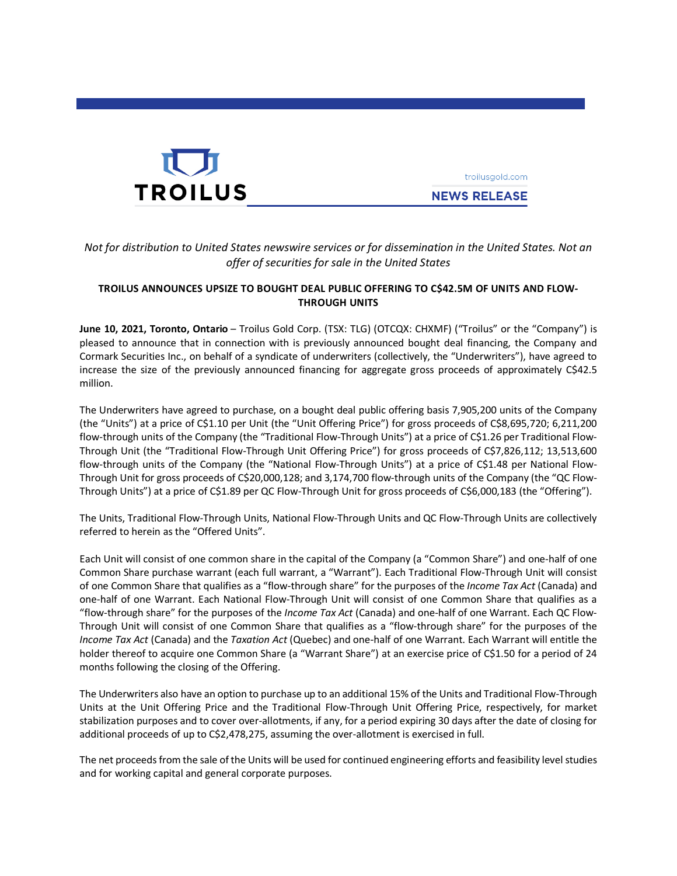

troilusgold.com **NEWS RELEASE** 

# *Not for distribution to United States newswire services or for dissemination in the United States. Not an offer of securities for sale in the United States*

## **TROILUS ANNOUNCES UPSIZE TO BOUGHT DEAL PUBLIC OFFERING TO C\$42.5M OF UNITS AND FLOW-THROUGH UNITS**

**June 10, 2021, Toronto, Ontario** – Troilus Gold Corp. (TSX: TLG) (OTCQX: CHXMF) ("Troilus" or the "Company") is pleased to announce that in connection with is previously announced bought deal financing, the Company and Cormark Securities Inc., on behalf of a syndicate of underwriters (collectively, the "Underwriters"), have agreed to increase the size of the previously announced financing for aggregate gross proceeds of approximately C\$42.5 million.

The Underwriters have agreed to purchase, on a bought deal public offering basis 7,905,200 units of the Company (the "Units") at a price of C\$1.10 per Unit (the "Unit Offering Price") for gross proceeds of C\$8,695,720; 6,211,200 flow-through units of the Company (the "Traditional Flow-Through Units") at a price of C\$1.26 per Traditional Flow-Through Unit (the "Traditional Flow-Through Unit Offering Price") for gross proceeds of C\$7,826,112; 13,513,600 flow-through units of the Company (the "National Flow-Through Units") at a price of C\$1.48 per National Flow-Through Unit for gross proceeds of C\$20,000,128; and 3,174,700 flow-through units of the Company (the "QC Flow-Through Units") at a price of C\$1.89 per QC Flow-Through Unit for gross proceeds of C\$6,000,183 (the "Offering").

The Units, Traditional Flow-Through Units, National Flow-Through Units and QC Flow-Through Units are collectively referred to herein as the "Offered Units".

Each Unit will consist of one common share in the capital of the Company (a "Common Share") and one-half of one Common Share purchase warrant (each full warrant, a "Warrant"). Each Traditional Flow-Through Unit will consist of one Common Share that qualifies as a "flow-through share" for the purposes of the *Income Tax Act* (Canada) and one-half of one Warrant. Each National Flow-Through Unit will consist of one Common Share that qualifies as a "flow-through share" for the purposes of the *Income Tax Act* (Canada) and one-half of one Warrant. Each QC Flow-Through Unit will consist of one Common Share that qualifies as a "flow-through share" for the purposes of the *Income Tax Act* (Canada) and the *Taxation Act* (Quebec) and one-half of one Warrant. Each Warrant will entitle the holder thereof to acquire one Common Share (a "Warrant Share") at an exercise price of C\$1.50 for a period of 24 months following the closing of the Offering.

The Underwriters also have an option to purchase up to an additional 15% of the Units and Traditional Flow-Through Units at the Unit Offering Price and the Traditional Flow-Through Unit Offering Price, respectively, for market stabilization purposes and to cover over-allotments, if any, for a period expiring 30 days after the date of closing for additional proceeds of up to C\$2,478,275, assuming the over-allotment is exercised in full.

The net proceeds from the sale of the Units will be used for continued engineering efforts and feasibility level studies and for working capital and general corporate purposes.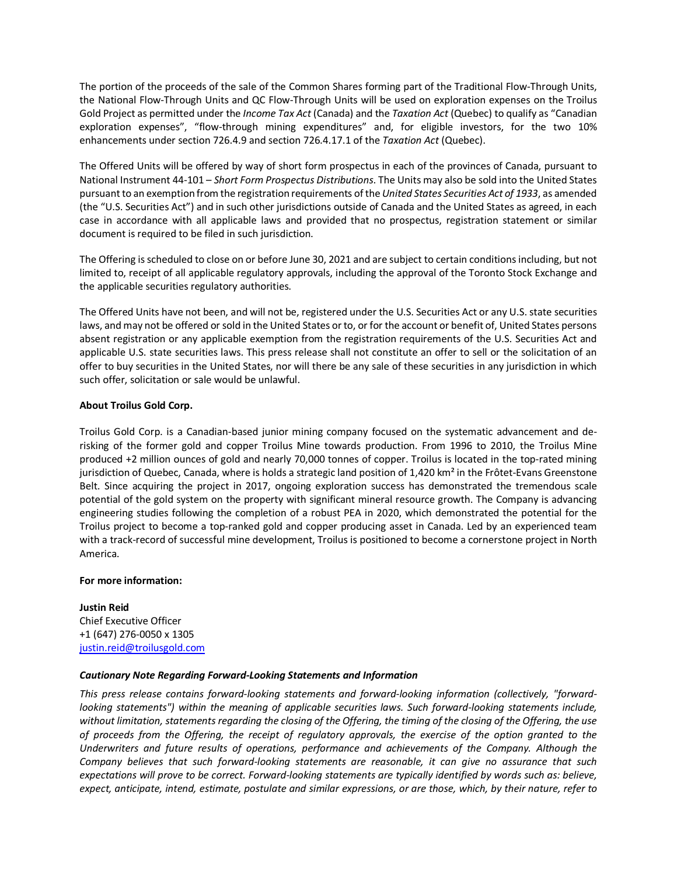The portion of the proceeds of the sale of the Common Shares forming part of the Traditional Flow-Through Units, the National Flow-Through Units and QC Flow-Through Units will be used on exploration expenses on the Troilus Gold Project as permitted under the *Income Tax Act* (Canada) and the *Taxation Act* (Quebec) to qualify as "Canadian exploration expenses", "flow-through mining expenditures" and, for eligible investors, for the two 10% enhancements under section 726.4.9 and section 726.4.17.1 of the *Taxation Act* (Quebec).

The Offered Units will be offered by way of short form prospectus in each of the provinces of Canada, pursuant to National Instrument 44-101 – *Short Form Prospectus Distributions*. The Units may also be sold into the United States pursuant to an exemption from the registration requirements of the *United States Securities Act of 1933*, as amended (the "U.S. Securities Act") and in such other jurisdictions outside of Canada and the United States as agreed, in each case in accordance with all applicable laws and provided that no prospectus, registration statement or similar document is required to be filed in such jurisdiction.

The Offering isscheduled to close on or before June 30, 2021 and are subject to certain conditions including, but not limited to, receipt of all applicable regulatory approvals, including the approval of the Toronto Stock Exchange and the applicable securities regulatory authorities.

The Offered Units have not been, and will not be, registered under the U.S. Securities Act or any U.S. state securities laws, and may not be offered or sold in the United States or to, or for the account or benefit of, United States persons absent registration or any applicable exemption from the registration requirements of the U.S. Securities Act and applicable U.S. state securities laws. This press release shall not constitute an offer to sell or the solicitation of an offer to buy securities in the United States, nor will there be any sale of these securities in any jurisdiction in which such offer, solicitation or sale would be unlawful.

## **About Troilus Gold Corp.**

Troilus Gold Corp. is a Canadian-based junior mining company focused on the systematic advancement and derisking of the former gold and copper Troilus Mine towards production. From 1996 to 2010, the Troilus Mine produced +2 million ounces of gold and nearly 70,000 tonnes of copper. Troilus is located in the top-rated mining jurisdiction of Quebec, Canada, where is holds a strategic land position of 1,420 km<sup>2</sup> in the Frôtet-Evans Greenstone Belt. Since acquiring the project in 2017, ongoing exploration success has demonstrated the tremendous scale potential of the gold system on the property with significant mineral resource growth. The Company is advancing engineering studies following the completion of a robust PEA in 2020, which demonstrated the potential for the Troilus project to become a top-ranked gold and copper producing asset in Canada. Led by an experienced team with a track-record of successful mine development, Troilus is positioned to become a cornerstone project in North America.

### **For more information:**

**Justin Reid** Chief Executive Officer +1 (647) 276-0050 x 1305 [justin.reid@troilusgold.com](mailto:justin.reid@troilusgold.com)

### *Cautionary Note Regarding Forward-Looking Statements and Information*

*This press release contains forward-looking statements and forward-looking information (collectively, "forwardlooking statements") within the meaning of applicable securities laws. Such forward-looking statements include, without limitation, statements regarding the closing of the Offering, the timing of the closing of the Offering, the use of proceeds from the Offering, the receipt of regulatory approvals, the exercise of the option granted to the Underwriters and future results of operations, performance and achievements of the Company. Although the Company believes that such forward-looking statements are reasonable, it can give no assurance that such expectations will prove to be correct. Forward-looking statements are typically identified by words such as: believe, expect, anticipate, intend, estimate, postulate and similar expressions, or are those, which, by their nature, refer to*